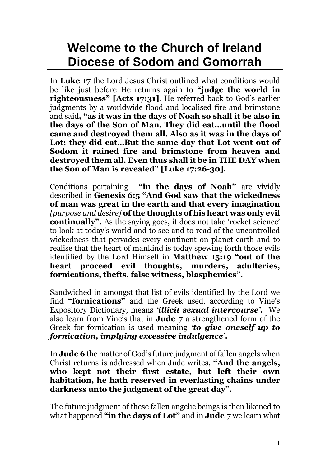# **Welcome to the Church of Ireland Diocese of Sodom and Gomorrah**

In **Luke 17** the Lord Jesus Christ outlined what conditions would be like just before He returns again to **"judge the world in righteousness" [Acts 17:31]**. He referred back to God's earlier judgments by a worldwide flood and localised fire and brimstone and said**, "as it was in the days of Noah so shall it be also in the days of the Son of Man. They did eat…until the flood came and destroyed them all. Also as it was in the days of Lot; they did eat…But the same day that Lot went out of Sodom it rained fire and brimstone from heaven and destroyed them all. Even thus shall it be in THE DAY when the Son of Man is revealed" [Luke 17:26-30].**

Conditions pertaining **"in the days of Noah"** are vividly described in **Genesis 6:5 "And God saw that the wickedness of man was great in the earth and that every imagination**  *[purpose and desire]* **of the thoughts of his heart was only evil continually".** As the saying goes, it does not take 'rocket science' to look at today's world and to see and to read of the uncontrolled wickedness that pervades every continent on planet earth and to realise that the heart of mankind is today spewing forth those evils identified by the Lord Himself in **Matthew 15:19 "out of the heart proceed evil thoughts, murders, adulteries, fornications, thefts, false witness, blasphemies".**

Sandwiched in amongst that list of evils identified by the Lord we find **"fornications"** and the Greek used, according to Vine's Expository Dictionary, means *'illicit sexual intercourse'.* We also learn from Vine's that in **Jude 7** a strengthened form of the Greek for fornication is used meaning *'to give oneself up to fornication, implying excessive indulgence'.*

In **Jude 6** the matter of God's future judgment of fallen angels when Christ returns is addressed when Jude writes, **"And the angels, who kept not their first estate, but left their own habitation, he hath reserved in everlasting chains under darkness unto the judgment of the great day".** 

The future judgment of these fallen angelic beings is then likened to what happened **"in the days of Lot"** and in **Jude 7** we learn what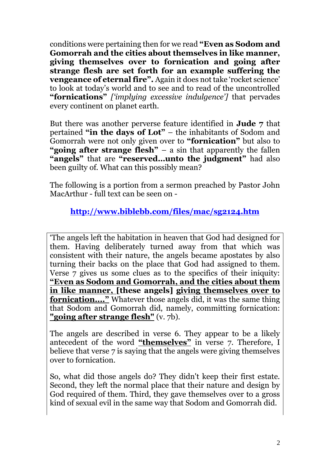conditions were pertaining then for we read **"Even as Sodom and Gomorrah and the cities about themselves in like manner, giving themselves over to fornication and going after strange flesh are set forth for an example suffering the vengeance of eternal fire".** Again it does not take 'rocket science' to look at today's world and to see and to read of the uncontrolled **"fornications"** *['implying excessive indulgence']* that pervades every continent on planet earth.

But there was another perverse feature identified in **Jude 7** that pertained **"in the days of Lot"** – the inhabitants of Sodom and Gomorrah were not only given over to **"fornication"** but also to **"going after strange flesh"** – a sin that apparently the fallen **"angels"** that are **"reserved…unto the judgment"** had also been guilty of. What can this possibly mean?

The following is a portion from a sermon preached by Pastor John MacArthur - full text can be seen on -

**<http://www.biblebb.com/files/mac/sg2124.htm>**

'The angels left the habitation in heaven that God had designed for them. Having deliberately turned away from that which was consistent with their nature, the angels became apostates by also turning their backs on the place that God had assigned to them. Verse 7 gives us some clues as to the specifics of their iniquity: **"Even as Sodom and Gomorrah, and the cities about them in like manner, [these angels] giving themselves over to fornication...."** Whatever those angels did, it was the same thing that Sodom and Gomorrah did, namely, committing fornication: **"going after strange flesh"** (v. 7b).

The angels are described in verse 6. They appear to be a likely antecedent of the word **"themselves"** in verse 7. Therefore, I believe that verse 7 is saying that the angels were giving themselves over to fornication.

So, what did those angels do? They didn't keep their first estate. Second, they left the normal place that their nature and design by God required of them. Third, they gave themselves over to a gross kind of sexual evil in the same way that Sodom and Gomorrah did.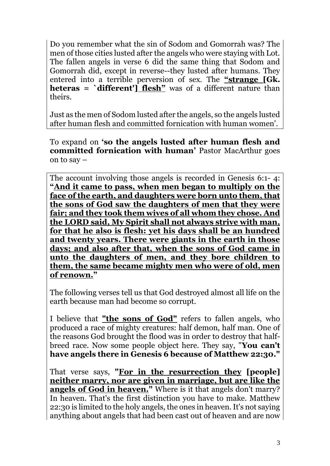Do you remember what the sin of Sodom and Gomorrah was? The men of those cities lusted after the angels who were staying with Lot. The fallen angels in verse 6 did the same thing that Sodom and Gomorrah did, except in reverse--they lusted after humans. They entered into a terrible perversion of sex. The **"strange [Gk. heteras = `different'] flesh"** was of a different nature than theirs.

Just as the men of Sodom lusted after the angels, so the angels lusted after human flesh and committed fornication with human women'.

To expand on **'so the angels lusted after human flesh and committed fornication with human' Pastor MacArthur goes** on to say –

The account involving those angels is recorded in Genesis 6:1- 4: **"And it came to pass, when men began to multiply on the face of the earth, and daughters were born unto them, that the sons of God saw the daughters of men that they were fair; and they took them wives of all whom they chose. And the LORD said, My Spirit shall not always strive with man, for that he also is flesh: yet his days shall be an hundred and twenty years. There were giants in the earth in those days; and also after that, when the sons of God came in unto the daughters of men, and they bore children to them, the same became mighty men who were of old, men of renown."**

The following verses tell us that God destroyed almost all life on the earth because man had become so corrupt.

I believe that **"the sons of God"** refers to fallen angels, who produced a race of mighty creatures: half demon, half man. One of the reasons God brought the flood was in order to destroy that halfbreed race. Now some people object here. They say, "**You can't have angels there in Genesis 6 because of Matthew 22:30."**

That verse says, **"For in the resurrection they [people] neither marry, nor are given in marriage, but are like the angels of God in heaven."** Where is it that angels don't marry? In heaven. That's the first distinction you have to make. Matthew 22:30 is limited to the holy angels, the ones in heaven. It's not saying anything about angels that had been cast out of heaven and are now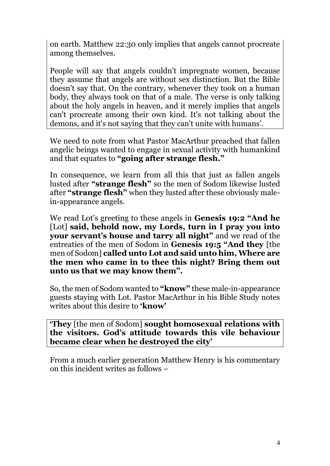on earth. Matthew 22:30 only implies that angels cannot procreate among themselves.

People will say that angels couldn't impregnate women, because they assume that angels are without sex distinction. But the Bible doesn't say that. On the contrary, whenever they took on a human body, they always took on that of a male. The verse is only talking about the holy angels in heaven, and it merely implies that angels can't procreate among their own kind. It's not talking about the demons, and it's not saying that they can't unite with humans'.

We need to note from what Pastor MacArthur preached that fallen angelic beings wanted to engage in sexual activity with humankind and that equates to **"going after strange flesh."** 

In consequence, we learn from all this that just as fallen angels lusted after **"strange flesh"** so the men of Sodom likewise lusted after **"strange flesh"** when they lusted after these obviously malein-appearance angels.

We read Lot's greeting to these angels in **Genesis 19:2 "And he**  [Lot] **said, behold now, my Lords, turn in I pray you into your servant's house and tarry all night"** and we read of the entreaties of the men of Sodom in **Genesis 19:5 "And they** [the men of Sodom] **called unto Lot and said unto him, Where are the men who came in to thee this night? Bring them out unto us that we may know them".**

So, the men of Sodom wanted to **"know"** these male-in-appearance guests staying with Lot. Pastor MacArthur in his Bible Study notes writes about this desire to **'know'**

**'They** [the men of Sodom] **sought homosexual relations with the visitors. God's attitude towards this vile behaviour became clear when he destroyed the city'**

From a much earlier generation Matthew Henry is his commentary on this incident writes as follows –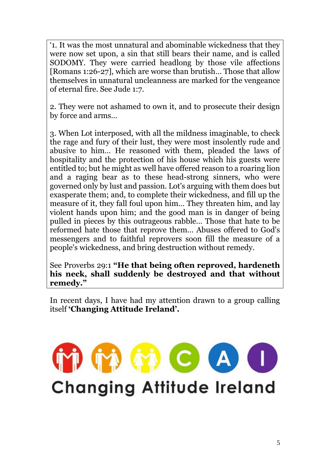'1. It was the most unnatural and abominable wickedness that they were now set upon, a sin that still bears their name, and is called SODOMY*.* They were carried headlong by those vile affections [Romans 1:26-27], which are worse than brutish… Those that allow themselves in unnatural uncleanness are marked for the vengeance of eternal fire. See Jude 1:7.

2. They were not ashamed to own it, and to prosecute their design by force and arms…

3. When Lot interposed, with all the mildness imaginable, to check the rage and fury of their lust, they were most insolently rude and abusive to him… He reasoned with them, pleaded the laws of hospitality and the protection of his house which his guests were entitled to; but he might as well have offered reason to a roaring lion and a raging bear as to these head-strong sinners, who were governed only by lust and passion. Lot's arguing with them does but exasperate them; and, to complete their wickedness, and fill up the measure of it, they fall foul upon him… They threaten him, and lay violent hands upon him; and the good man is in danger of being pulled in pieces by this outrageous rabble… Those that hate to be reformed hate those that reprove them… Abuses offered to God's messengers and to faithful reprovers soon fill the measure of a people's wickedness, and bring destruction without remedy.

See Proverbs 29:1 **"He that being often reproved, hardeneth his neck, shall suddenly be destroyed and that without remedy."**

In recent days, I have had my attention drawn to a group calling itself **'Changing Attitude Ireland'.** 

# Δ C **Changing Attitude Ireland**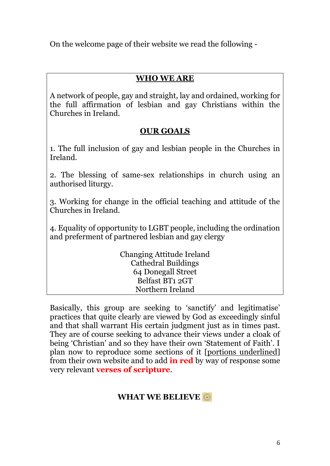On the welcome page of their website we read the following -

# **WHO WE ARE**

A network of people, gay and straight, lay and ordained, working for the full affirmation of lesbian and gay Christians within the Churches in Ireland.

# **OUR GOALS**

1. The full inclusion of gay and lesbian people in the Churches in Ireland.

2. The blessing of same-sex relationships in church using an authorised liturgy.

3. Working for change in the official teaching and attitude of the Churches in Ireland.

4. Equality of opportunity to LGBT people, including the ordination and preferment of partnered lesbian and gay clergy

> Changing Attitude Ireland Cathedral Buildings 64 Donegall Street Belfast BT1 2GT Northern Ireland

Basically, this group are seeking to 'sanctify' and legitimatise' practices that quite clearly are viewed by God as exceedingly sinful and that shall warrant His certain judgment just as in times past. They are of course seeking to advance their views under a cloak of being 'Christian' and so they have their own 'Statement of Faith'. I plan now to reproduce some sections of it [portions underlined] from their own website and to add **in red** by way of response some very relevant **verses of scripture**.

# **WHAT WE BELIEVE**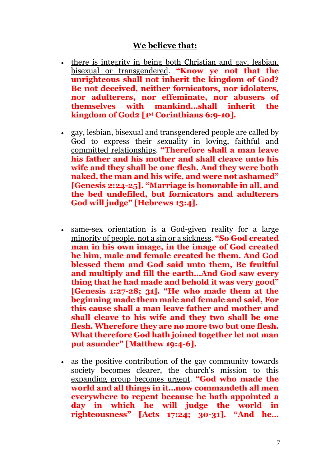#### **We believe that:**

- there is integrity in being both Christian and gay, lesbian, bisexual or transgendered. **"Know ye not that the unrighteous shall not inherit the kingdom of God? Be not deceived, neither fornicators, nor idolaters, nor adulterers, nor effeminate, nor abusers of themselves with mankind…shall inherit the kingdom of God2 [1st Corinthians 6:9-10].**
- gay, lesbian, bisexual and transgendered people are called by God to express their sexuality in loving, faithful and committed relationships. **"Therefore shall a man leave his father and his mother and shall cleave unto his wife and they shall be one flesh. And they were both naked, the man and his wife, and were not ashamed" [Genesis 2:24-25]. "Marriage is honorable in all, and the bed undefiled, but fornicators and adulterers God will judge" [Hebrews 13:4].**
- same-sex orientation is a God-given reality for a large minority of people, not a sin or a sickness. **"So God created man in his own image, in the image of God created he him, male and female created he them. And God blessed them and God said unto them, Be fruitful and multiply and fill the earth…And God saw every thing that he had made and behold it was very good" [Genesis 1:27-28; 31]. "He who made them at the beginning made them male and female and said, For this cause shall a man leave father and mother and shall cleave to his wife and they two shall be one flesh. Wherefore they are no more two but one flesh. What therefore God hath joined together let not man put asunder" [Matthew 19:4-6].**
- as the positive contribution of the gay community towards society becomes clearer, the church's mission to this expanding group becomes urgent. **"God who made the world and all things in it…now commandeth all men everywhere to repent because he hath appointed a day in which he will judge the world in righteousness" [Acts 17:24; 30-31]. "And he…**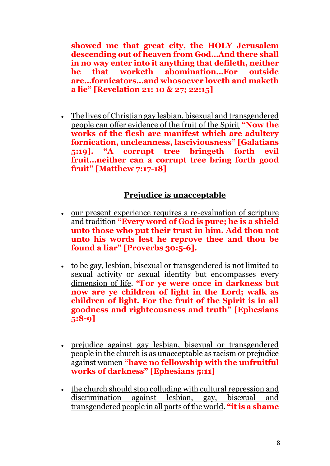**showed me that great city, the HOLY Jerusalem descending out of heaven from God…And there shall in no way enter into it anything that defileth, neither he that worketh abomination…For outside are…fornicators…and whosoever loveth and maketh a lie" [Revelation 21: 10 & 27; 22:15]**

 The lives of Christian gay lesbian, bisexual and transgendered people can offer evidence of the fruit of the Spirit **"Now the works of the flesh are manifest which are adultery fornication, uncleanness, lasciviousness" [Galatians 5:19]. "A corrupt tree bringeth forth evil fruit…neither can a corrupt tree bring forth good fruit" [Matthew 7:17-18]**

# **Prejudice is unacceptable**

- our present experience requires a re-evaluation of scripture and tradition **"Every word of God is pure; he is a shield unto those who put their trust in him. Add thou not unto his words lest he reprove thee and thou be found a liar" [Proverbs 30:5-6].**
- to be gay, lesbian, bisexual or transgendered is not limited to sexual activity or sexual identity but encompasses every dimension of life. **"For ye were once in darkness but now are ye children of light in the Lord; walk as children of light. For the fruit of the Spirit is in all goodness and righteousness and truth" [Ephesians 5:8-9]**
- prejudice against gay lesbian, bisexual or transgendered people in the church is as unacceptable as racism or prejudice against women **"have no fellowship with the unfruitful works of darkness" [Ephesians 5:11]**
- the church should stop colluding with cultural repression and discrimination against lesbian, gay, bisexual and transgendered people in all parts of the world. **"it is a shame**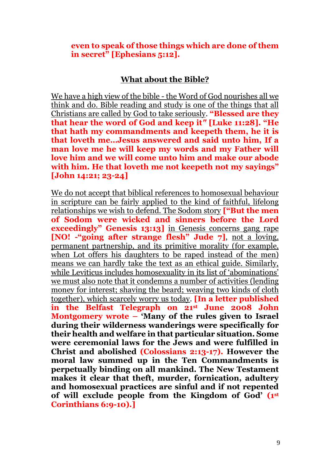**even to speak of those things which are done of them in secret" [Ephesians 5:12].**

#### **What about the Bible?**

We have a high view of the bible - the Word of God nourishes all we think and do. Bible reading and study is one of the things that all Christians are called by God to take seriously. **"Blessed are they that hear the word of God and keep it***"* **[Luke 11:28]. "He that hath my commandments and keepeth them, he it is that loveth me…Jesus answered and said unto him, If a man love me he will keep my words and my Father will love him and we will come unto him and make our abode with him. He that loveth me not keepeth not my sayings" [John 14:21; 23-24]**

We do not accept that biblical references to homosexual behaviour in scripture can be fairly applied to the kind of faithful, lifelong relationships we wish to defend. The Sodom story **["But the men of Sodom were wicked and sinners before the Lord exceedingly" Genesis 13:13]** in Genesis concerns gang rape **[NO! -"going after strange flesh" Jude 7]**, not a loving, permanent partnership, and its primitive morality (for example, when Lot offers his daughters to be raped instead of the men) means we can hardly take the text as an ethical guide. Similarly, while Leviticus includes homosexuality in its list of 'abominations' we must also note that it condemns a number of activities (lending money for interest; shaving the beard; weaving two kinds of cloth together), which scarcely worry us today. **[In a letter published in the Belfast Telegraph on 21st June 2008 John Montgomery wrote – 'Many of the rules given to Israel during their wilderness wanderings were specifically for their health and welfare in that particular situation. Some were ceremonial laws for the Jews and were fulfilled in Christ and abolished (Colossians 2:13-17). However the moral law summed up in the Ten Commandments is perpetually binding on all mankind. The New Testament makes it clear that theft, murder, fornication, adultery and homosexual practices are sinful and if not repented of will exclude people from the Kingdom of God' (1st Corinthians 6:9-10).]**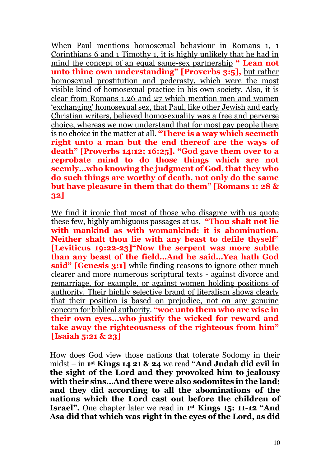When Paul mentions homosexual behaviour in Romans 1, 1 Corinthians 6 and 1 Timothy 1, it is highly unlikely that he had in mind the concept of an equal same-sex partnership **" Lean not unto thine own understanding" [Proverbs 3:5],** but rather homosexual prostitution and pederasty, which were the most visible kind of homosexual practice in his own society. Also, it is clear from Romans 1.26 and 27 which mention men and women 'exchanging' homosexual sex, that Paul, like other Jewish and early Christian writers, believed homosexuality was a free and perverse choice, whereas we now understand that for most gay people there is no choice in the matter at all. **"There is a way which seemeth right unto a man but the end thereof are the ways of death" [Proverbs 14:12; 16:25]. "God gave them over to a reprobate mind to do those things which are not seemly…who knowing the judgment of God, that they who do such things are worthy of death, not only do the same but have pleasure in them that do them" [Romans 1: 28 & 32]**

We find it ironic that most of those who disagree with us quote these few, highly ambiguous passages at us, **"Thou shalt not lie with mankind as with womankind: it is abomination. Neither shalt thou lie with any beast to defile thyself" [Leviticus 19:22-23]"Now the serpent was more subtle than any beast of the field…And he said…Yea hath God said" [Genesis 3:1]** while finding reasons to ignore other much clearer and more numerous scriptural texts - against divorce and remarriage, for example, or against women holding positions of authority. Their highly selective brand of literalism shows clearly that their position is based on prejudice, not on any genuine concern for biblical authority. **"woe unto them who are wise in their own eyes…who justify the wicked for reward and take away the righteousness of the righteous from him" [Isaiah 5:21 & 23]**

How does God view those nations that tolerate Sodomy in their midst – in **1 st Kings 14 21 & 24** we read **"And Judah did evil in the sight of the Lord and they provoked him to jealousy with their sins…And there were also sodomites in the land; and they did according to all the abominations of the nations which the Lord cast out before the children of Israel".** One chapter later we read in **1 st Kings 15: 11-12 "And Asa did that which was right in the eyes of the Lord, as did**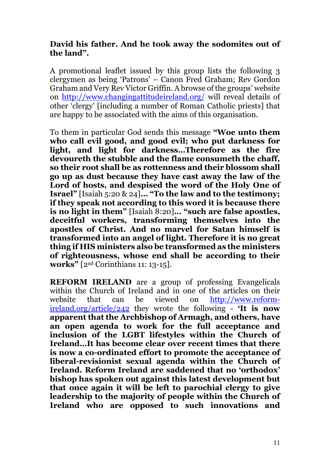#### **David his father. And he took away the sodomites out of the land".**

A promotional leaflet issued by this group lists the following 3 clergymen as being 'Patrons' – Canon Fred Graham; Rev Gordon Graham and Very Rev Victor Griffin. A browse of the groups' website on <http://www.changingattitudeireland.org/> will reveal details of other 'clergy' [including a number of Roman Catholic priests] that are happy to be associated with the aims of this organisation.

To them in particular God sends this message **"Woe unto them who call evil good, and good evil; who put darkness for light, and light for darkness…Therefore as the fire devoureth the stubble and the flame consumeth the chaff, so their root shall be as rottenness and their blossom shall go up as dust because they have cast away the law of the Lord of hosts, and despised the word of the Holy One of Israel"** [Isaiah 5:20 & 24]**… "To the law and to the testimony; if they speak not according to this word it is because there is no light in them"** [Isaiah 8:20]**… "such are false apostles, deceitful workers, transforming themselves into the apostles of Christ. And no marvel for Satan himself is transformed into an angel of light. Therefore it is no great thing if HIS ministers also be transformed as the ministers of righteousness, whose end shall be according to their works"** [2nd Corinthians 11: 13-15].

**REFORM IRELAND** are a group of professing Evangelicals within the Church of Ireland and in one of the articles on their website that can be viewed on [http://www.reform](http://www.reform-ireland.org/article/242)[ireland.org/article/242](http://www.reform-ireland.org/article/242) they wrote the following - **'It is now apparent that the Archbishop of Armagh, and others, have an open agenda to work for the full acceptance and inclusion of the LGBT lifestyles within the Church of Ireland…It has become clear over recent times that there is now a co-ordinated effort to promote the acceptance of liberal-revisionist sexual agenda within the Church of Ireland. Reform Ireland are saddened that no 'orthodox' bishop has spoken out against this latest development but that once again it will be left to parochial clergy to give leadership to the majority of people within the Church of Ireland who are opposed to such innovations and**